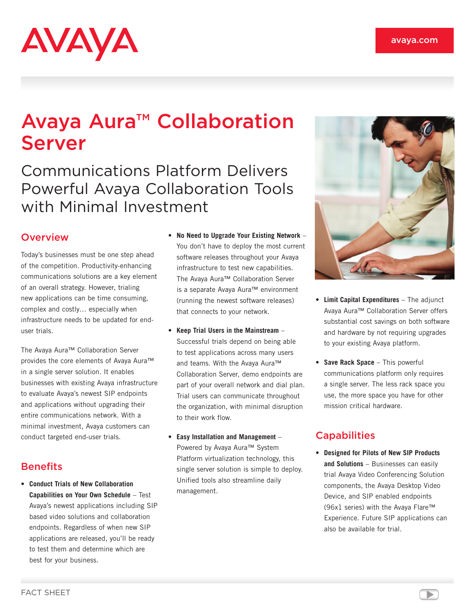# AVAYA

# Avaya Aura™ Collaboration Server

# Communications Platform Delivers Powerful Avaya Collaboration Tools with Minimal Investment

### **Overview**

Today's businesses must be one step ahead of the competition. Productivity-enhancing communications solutions are a key element of an overall strategy. However, trialing new applications can be time consuming, complex and costly… especially when infrastructure needs to be updated for enduser trials.

The Avaya Aura™ Collaboration Server provides the core elements of Avaya Aura™ in a single server solution. It enables businesses with existing Avaya infrastructure to evaluate Avaya's newest SIP endpoints and applications without upgrading their entire communications network. With a minimal investment, Avaya customers can conduct targeted end-user trials.

## **Benefits**

• **Conduct Trials of New Collaboration Capabilities on Your Own Schedule** – Test Avaya's newest applications including SIP based video solutions and collaboration endpoints. Regardless of when new SIP applications are released, you'll be ready to test them and determine which are best for your business.

- **No Need to Upgrade Your Existing Network** You don't have to deploy the most current software releases throughout your Avaya infrastructure to test new capabilities. The Avaya Aura™ Collaboration Server is a separate Avaya Aura™ environment (running the newest software releases) that connects to your network.
- **Keep Trial Users in the Mainstream** Successful trials depend on being able to test applications across many users and teams. With the Avaya Aura™ Collaboration Server, demo endpoints are part of your overall network and dial plan. Trial users can communicate throughout the organization, with minimal disruption to their work flow.
- **Easy Installation and Management** Powered by Avaya Aura™ System Platform virtualization technology, this single server solution is simple to deploy. Unified tools also streamline daily management.



- **Limit Capital Expenditures** The adjunct Avaya Aura™ Collaboration Server offers substantial cost savings on both software and hardware by not requiring upgrades to your existing Avaya platform.
- **Save Rack Space** This powerful communications platform only requires a single server. The less rack space you use, the more space you have for other mission critical hardware.

## **Capabilities**

• **Designed for Pilots of New SIP Products and Solutions** – Businesses can easily trial Avaya Video Conferencing Solution components, the Avaya Desktop Video Device, and SIP enabled endpoints (96x1 series) with the Avaya Flare™ Experience. Future SIP applications can also be available for trial.

 $\blacktriangleright$